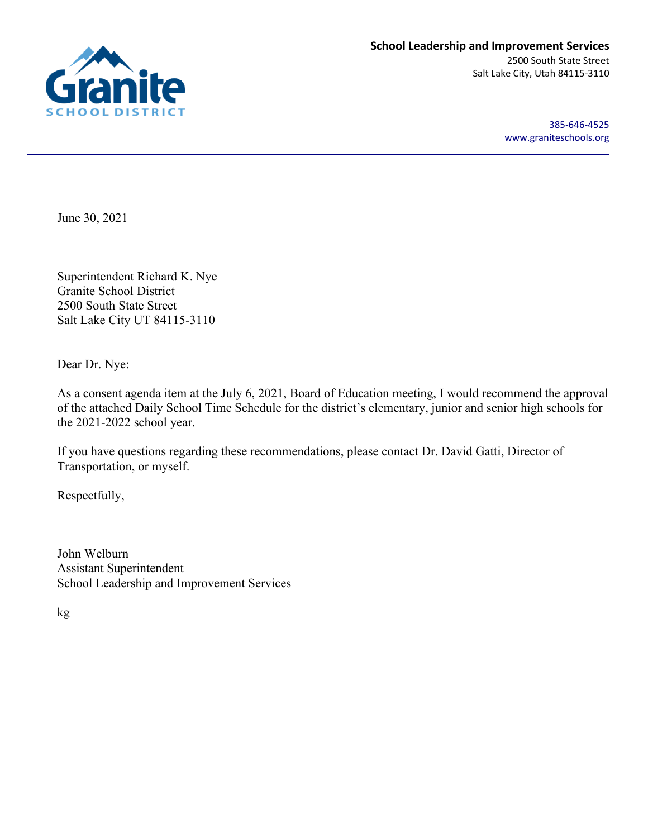

385-646-4525 [www.graniteschools.org](http://www.graniteschools.org/)

June 30, 2021

Superintendent Richard K. Nye Granite School District 2500 South State Street Salt Lake City UT 84115-3110

Dear Dr. Nye:

As a consent agenda item at the July 6, 2021, Board of Education meeting, I would recommend the approval of the attached Daily School Time Schedule for the district's elementary, junior and senior high schools for the 2021-2022 school year.

If you have questions regarding these recommendations, please contact Dr. David Gatti, Director of Transportation, or myself.

Respectfully,

John Welburn Assistant Superintendent School Leadership and Improvement Services

kg